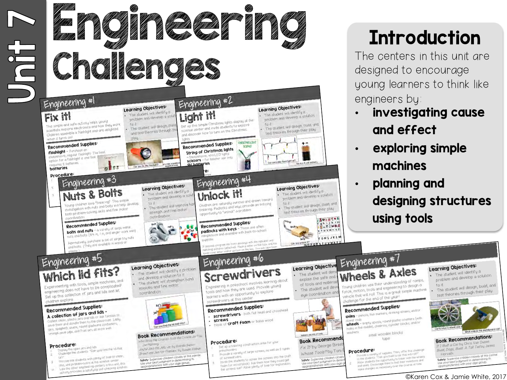

## **Introduction**

The centers in this unit are designed to encourage young learners to think like engineers by:

- investigating cause and effect
- exploring simple machines
- planning and designing structures using tools

Wheels & Axles Young children use their understanding of ramps, Young children use their understanding or runned<br>force, motion, tools and engineering to design a Young children, tools and engineering to design a<br>force, motion, tools and engineering to design a<br>vehicle that will roll. This is a great simple machine vehicle that will roll. This is a given

#### Recommended Supplies **Recommended Supplies:**<br>axles - penals, thin markers, drinking straws, and/or

dxles - pencius, units<br>dowel rods<br>wheels - empty spools, round plastic counters (with<br>wheels - empty spools, rounder blocks, analion dowel rods<br>**wheels** - empty spools, round plastic counters (wheels<br>holes in the middle), cheerios, cylinder blocks, and/or washers



Cedure:<br>Provide a variety of supples Then, offer this challenge Procedure: o the students "Can you build a par that will roll?"<br>Provide a variety of supplies Then, offer that will roll?"

Provide a variety of superburble a part that will rather<br>to the students that go up blake a very the serve wheels<br>Allow students the opportunity to triest with the wheels to the students. "Can you bless with the wheels<br>Allow students the opportunity to triker invertions and<br>and axels. Encourage them to test their invertions and<br>and axels. Encourage sensus Allow students courage them to test their invention of<br>and axels. Encourage them to test the course of time

#### Learning Objectives:

- The student will identify a The student will lasting a solution
- to it<br>The student will design, build, and<br>their play The student will alway their play



#### **Book Recommendations: Book Recommend Van Du**<br>If I Built a Car by Chris Van Du If I Built a Car by Chris Van Dusen<br>Build, Dogs, Build A Tall Tail by James Horvath

Horvath<br>safety: Supervise children closely at this center<br>Use your best judgment in determining its<br>appropriateness with your age group.

#### ©Karen Cox & Jamie White, 2017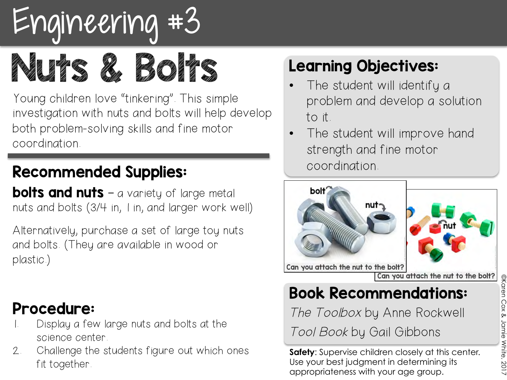

Nuts 2 Brand

Young children love "tinkering". This simple investigation with nuts and bolts will help develop both problem-solving skills and fine motor coordination.

#### Recommended Supplies:

**bolts and nuts** – a variety of large metal nuts and bolts (3/4 in, 1 in, and larger work well)

Alternatively, purchase a set of large toy nuts and bolts. (They are available in wood or plastic.)

#### Procedure:

- Display a few large nuts and bolts at the science center.
- 2. Challenge the students figure out which ones fit together.

### Learning Objectives:

- The student will identify a problem and develop a solution to it.
- The student will improve hand strength and fine motor coordination.



Can you attach the nut to the bolt?

#### Book Recommendations:

The Toolbox by Anne Rockwell

Tool Book by Gail Gibbons

**Safety**: Supervise children closely at this center. Use your best judgment in determining its appropriateness with your age group.